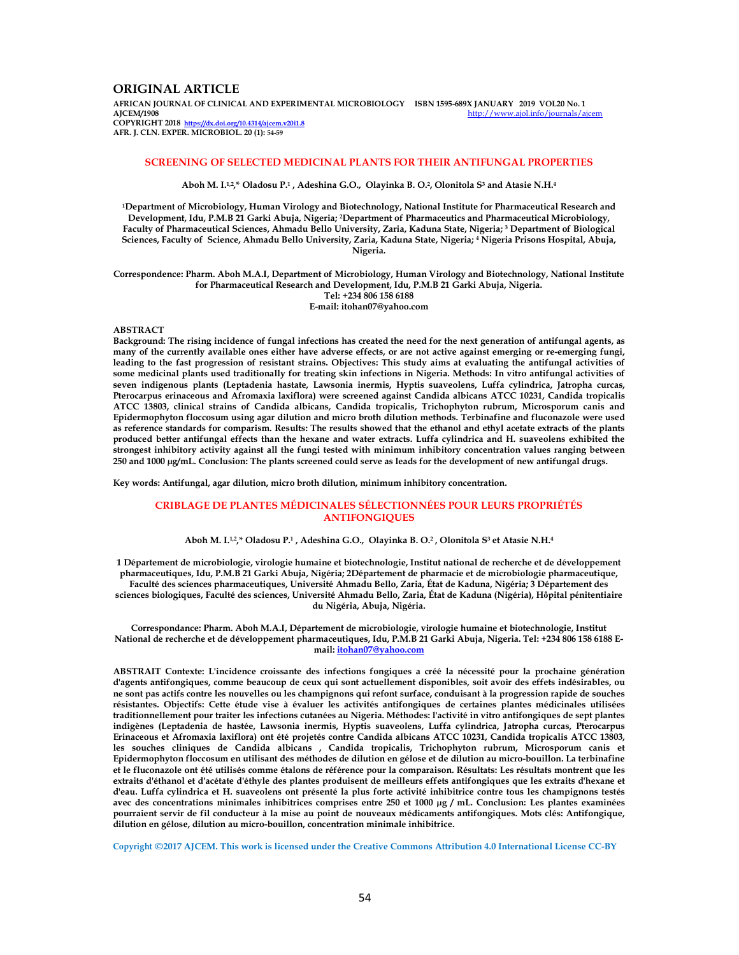# **ORIGINAL ARTICLE**

**AFRICAN JOURNAL OF CLINICAL AND EXPERIMENTAL MICROBIOLOGY ISBN 1595-689X JANUARY 2019 VOL20 No. 1**  http://www.ajol.info/journals/ajc **COPYRIGHT 2018 https://dx.doi.org/10.4314/ajcem.v20i1.8** 

**AFR. J. CLN. EXPER. MICROBIOL. 20 (1): 54-59**

## **SCREENING OF SELECTED MEDICINAL PLANTS FOR THEIR ANTIFUNGAL PROPERTIES**

**Aboh M. I.1,2,\* Oladosu P.<sup>1</sup> , Adeshina G.O., Olayinka B. O.<sup>2</sup> , Olonitola S<sup>3</sup> and Atasie N.H.<sup>4</sup>**

**<sup>1</sup>Department of Microbiology, Human Virology and Biotechnology, National Institute for Pharmaceutical Research and Development, Idu, P.M.B 21 Garki Abuja, Nigeria; 2Department of Pharmaceutics and Pharmaceutical Microbiology, Faculty of Pharmaceutical Sciences, Ahmadu Bello University, Zaria, Kaduna State, Nigeria; <sup>3</sup> Department of Biological Sciences, Faculty of Science, Ahmadu Bello University, Zaria, Kaduna State, Nigeria; <sup>4</sup> Nigeria Prisons Hospital, Abuja, Nigeria.** 

**Correspondence: Pharm. Aboh M.A.I, Department of Microbiology, Human Virology and Biotechnology, National Institute for Pharmaceutical Research and Development, Idu, P.M.B 21 Garki Abuja, Nigeria. Tel: +234 806 158 6188 E-mail: itohan07@yahoo.com** 

#### **ABSTRACT**

**Background: The rising incidence of fungal infections has created the need for the next generation of antifungal agents, as many of the currently available ones either have adverse effects, or are not active against emerging or re-emerging fungi, leading to the fast progression of resistant strains. Objectives: This study aims at evaluating the antifungal activities of some medicinal plants used traditionally for treating skin infections in Nigeria. Methods: In vitro antifungal activities of seven indigenous plants (Leptadenia hastate, Lawsonia inermis, Hyptis suaveolens, Luffa cylindrica, Jatropha curcas, Pterocarpus erinaceous and Afromaxia laxiflora) were screened against Candida albicans ATCC 10231, Candida tropicalis ATCC 13803, clinical strains of Candida albicans, Candida tropicalis, Trichophyton rubrum, Microsporum canis and Epidermophyton floccosum using agar dilution and micro broth dilution methods. Terbinafine and fluconazole were used as reference standards for comparism. Results: The results showed that the ethanol and ethyl acetate extracts of the plants produced better antifungal effects than the hexane and water extracts. Luffa cylindrica and H. suaveolens exhibited the strongest inhibitory activity against all the fungi tested with minimum inhibitory concentration values ranging between 250 and 1000 µg/mL. Conclusion: The plants screened could serve as leads for the development of new antifungal drugs.** 

**Key words: Antifungal, agar dilution, micro broth dilution, minimum inhibitory concentration.** 

## **CRIBLAGE DE PLANTES MÉDICINALES SÉLECTIONNÉES POUR LEURS PROPRIÉTÉS ANTIFONGIQUES**

#### **Aboh M. I.1,2,\* Oladosu P.<sup>1</sup> , Adeshina G.O., Olayinka B. O.<sup>2</sup> , Olonitola S<sup>3</sup> et Atasie N.H.<sup>4</sup>**

**1 Département de microbiologie, virologie humaine et biotechnologie, Institut national de recherche et de développement pharmaceutiques, Idu, P.M.B 21 Garki Abuja, Nigéria; 2Département de pharmacie et de microbiologie pharmaceutique, Faculté des sciences pharmaceutiques, Université Ahmadu Bello, Zaria, État de Kaduna, Nigéria; 3 Département des** 

**sciences biologiques, Faculté des sciences, Université Ahmadu Bello, Zaria, État de Kaduna (Nigéria), Hôpital pénitentiaire du Nigéria, Abuja, Nigéria.** 

**Correspondance: Pharm. Aboh M.A.I, Département de microbiologie, virologie humaine et biotechnologie, Institut National de recherche et de développement pharmaceutiques, Idu, P.M.B 21 Garki Abuja, Nigeria. Tel: +234 806 158 6188 Email: itohan07@yahoo.com**

**ABSTRAIT Contexte: L'incidence croissante des infections fongiques a créé la nécessité pour la prochaine génération d'agents antifongiques, comme beaucoup de ceux qui sont actuellement disponibles, soit avoir des effets indésirables, ou ne sont pas actifs contre les nouvelles ou les champignons qui refont surface, conduisant à la progression rapide de souches résistantes. Objectifs: Cette étude vise à évaluer les activités antifongiques de certaines plantes médicinales utilisées traditionnellement pour traiter les infections cutanées au Nigeria. Méthodes: l'activité in vitro antifongiques de sept plantes indigènes (Leptadenia de hastée, Lawsonia inermis, Hyptis suaveolens, Luffa cylindrica, Jatropha curcas, Pterocarpus Erinaceous et Afromaxia laxiflora) ont été projetés contre Candida albicans ATCC 10231, Candida tropicalis ATCC 13803, les souches cliniques de Candida albicans , Candida tropicalis, Trichophyton rubrum, Microsporum canis et Epidermophyton floccosum en utilisant des méthodes de dilution en gélose et de dilution au micro-bouillon. La terbinafine et le fluconazole ont été utilisés comme étalons de référence pour la comparaison. Résultats: Les résultats montrent que les extraits d'éthanol et d'acétate d'éthyle des plantes produisent de meilleurs effets antifongiques que les extraits d'hexane et d'eau. Luffa cylindrica et H. suaveolens ont présenté la plus forte activité inhibitrice contre tous les champignons testés avec des concentrations minimales inhibitrices comprises entre 250 et 1000 µg / mL. Conclusion: Les plantes examinées pourraient servir de fil conducteur à la mise au point de nouveaux médicaments antifongiques. Mots clés: Antifongique, dilution en gélose, dilution au micro-bouillon, concentration minimale inhibitrice.** 

**Copyright ©2017 AJCEM. This work is licensed under the Creative Commons Attribution 4.0 International License CC-BY**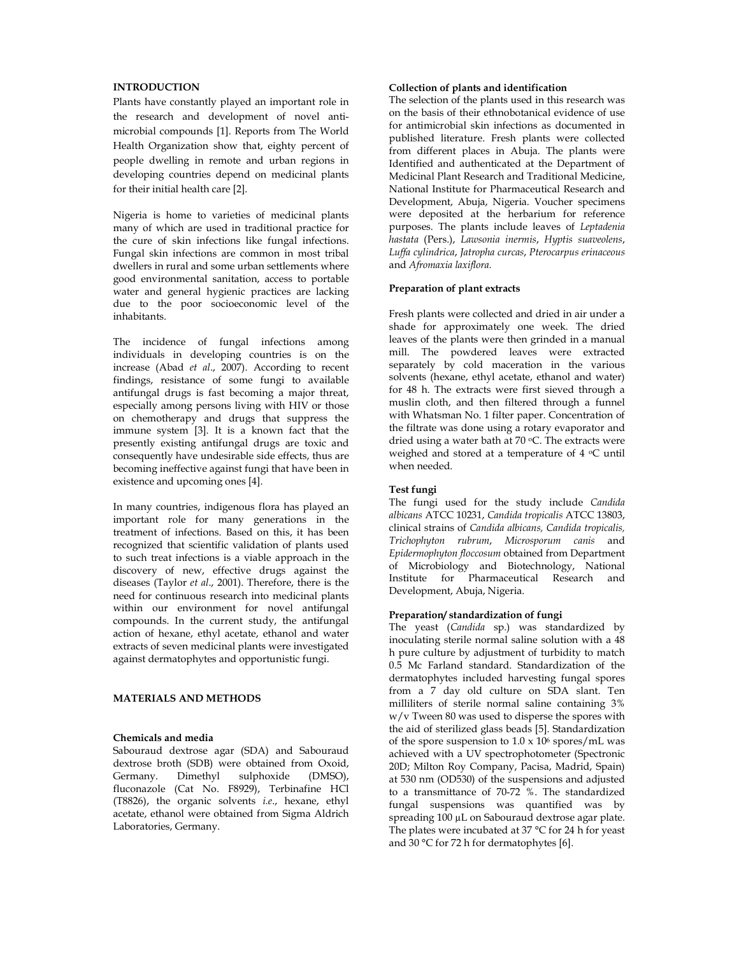# **INTRODUCTION**

Plants have constantly played an important role in the research and development of novel antimicrobial compounds [1]. Reports from The World Health Organization show that, eighty percent of people dwelling in remote and urban regions in developing countries depend on medicinal plants for their initial health care [2].

Nigeria is home to varieties of medicinal plants many of which are used in traditional practice for the cure of skin infections like fungal infections. Fungal skin infections are common in most tribal dwellers in rural and some urban settlements where good environmental sanitation, access to portable water and general hygienic practices are lacking due to the poor socioeconomic level of the inhabitants.

The incidence of fungal infections among individuals in developing countries is on the increase (Abad *et al*., 2007). According to recent findings, resistance of some fungi to available antifungal drugs is fast becoming a major threat, especially among persons living with HIV or those on chemotherapy and drugs that suppress the immune system [3]. It is a known fact that the presently existing antifungal drugs are toxic and consequently have undesirable side effects, thus are becoming ineffective against fungi that have been in existence and upcoming ones [4].

In many countries, indigenous flora has played an important role for many generations in the treatment of infections. Based on this, it has been recognized that scientific validation of plants used to such treat infections is a viable approach in the discovery of new, effective drugs against the diseases (Taylor *et al*., 2001). Therefore, there is the need for continuous research into medicinal plants within our environment for novel antifungal compounds. In the current study, the antifungal action of hexane, ethyl acetate, ethanol and water extracts of seven medicinal plants were investigated against dermatophytes and opportunistic fungi.

# **MATERIALS AND METHODS**

#### **Chemicals and media**

Sabouraud dextrose agar (SDA) and Sabouraud dextrose broth (SDB) were obtained from Oxoid, Germany. Dimethyl sulphoxide (DMSO), fluconazole (Cat No. F8929), Terbinafine HCl (T8826), the organic solvents *i.e*., hexane, ethyl acetate, ethanol were obtained from Sigma Aldrich Laboratories, Germany.

### **Collection of plants and identification**

The selection of the plants used in this research was on the basis of their ethnobotanical evidence of use for antimicrobial skin infections as documented in published literature. Fresh plants were collected from different places in Abuja. The plants were Identified and authenticated at the Department of Medicinal Plant Research and Traditional Medicine, National Institute for Pharmaceutical Research and Development, Abuja, Nigeria. Voucher specimens were deposited at the herbarium for reference purposes. The plants include leaves of *Leptadenia hastata* (Pers.), *Lawsonia inermis*, *Hyptis suaveolens*, *Luffa cylindrica*, *Jatropha curcas*, *Pterocarpus erinaceous* and *Afromaxia laxiflora.*

#### **Preparation of plant extracts**

Fresh plants were collected and dried in air under a shade for approximately one week. The dried leaves of the plants were then grinded in a manual mill. The powdered leaves were extracted separately by cold maceration in the various solvents (hexane, ethyl acetate, ethanol and water) for 48 h. The extracts were first sieved through a muslin cloth, and then filtered through a funnel with Whatsman No. 1 filter paper. Concentration of the filtrate was done using a rotary evaporator and dried using a water bath at 70 °C. The extracts were weighed and stored at a temperature of 4 °C until when needed.

## **Test fungi**

The fungi used for the study include *Candida albicans* ATCC 10231, *Candida tropicalis* ATCC 13803, clinical strains of *Candida albicans, Candida tropicalis, Trichophyton rubrum*, *Microsporum canis* and *Epidermophyton floccosum* obtained from Department of Microbiology and Biotechnology, National Institute for Pharmaceutical Research and Development, Abuja, Nigeria.

## **Preparation/ standardization of fungi**

The yeast (*Candida* sp.) was standardized by inoculating sterile normal saline solution with a 48 h pure culture by adjustment of turbidity to match 0.5 Mc Farland standard. Standardization of the dermatophytes included harvesting fungal spores from a 7 day old culture on SDA slant. Ten milliliters of sterile normal saline containing 3% w/v Tween 80 was used to disperse the spores with the aid of sterilized glass beads [5]. Standardization of the spore suspension to  $1.0 \times 10^6$  spores/mL was achieved with a UV spectrophotometer (Spectronic 20D; Milton Roy Company, Pacisa, Madrid, Spain) at 530 nm (OD530) of the suspensions and adjusted to a transmittance of 70-72 %. The standardized fungal suspensions was quantified was by spreading 100 µL on Sabouraud dextrose agar plate. The plates were incubated at 37 °C for 24 h for yeast and 30 °C for 72 h for dermatophytes [6].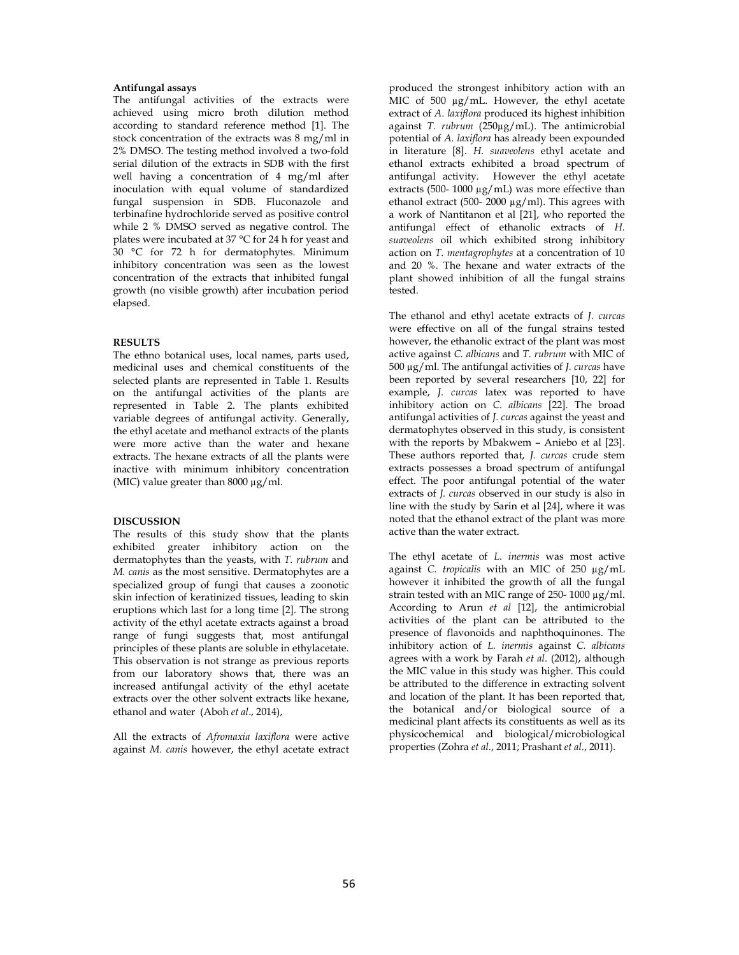#### **Antifungal assays**

The antifungal activities of the extracts were achieved using micro broth dilution method according to standard reference method [1]. The stock concentration of the extracts was 8 mg/ml in 2% DMSO. The testing method involved a two-fold serial dilution of the extracts in SDB with the first well having a concentration of 4 mg/ml after inoculation with equal volume of standardized fungal suspension in SDB. Fluconazole and terbinafine hydrochloride served as positive control while 2 % DMSO served as negative control. The plates were incubated at 37 °C for 24 h for yeast and 30 °C for 72 h for dermatophytes. Minimum inhibitory concentration was seen as the lowest concentration of the extracts that inhibited fungal growth (no visible growth) after incubation period elapsed.

#### **RESULTS**

The ethno botanical uses, local names, parts used, medicinal uses and chemical constituents of the selected plants are represented in Table 1. Results on the antifungal activities of the plants are represented in Table 2. The plants exhibited variable degrees of antifungal activity. Generally, the ethyl acetate and methanol extracts of the plants were more active than the water and hexane extracts. The hexane extracts of all the plants were inactive with minimum inhibitory concentration (MIC) value greater than 8000 µg/ml.

## **DISCUSSION**

The results of this study show that the plants exhibited greater inhibitory action on the dermatophytes than the yeasts, with *T. rubrum* and *M. canis* as the most sensitive. Dermatophytes are a specialized group of fungi that causes a zoonotic skin infection of keratinized tissues, leading to skin eruptions which last for a long time [2]. The strong activity of the ethyl acetate extracts against a broad range of fungi suggests that, most antifungal principles of these plants are soluble in ethylacetate. This observation is not strange as previous reports from our laboratory shows that, there was an increased antifungal activity of the ethyl acetate extracts over the other solvent extracts like hexane, ethanol and water (Aboh *et al*., 2014),

All the extracts of *Afromaxia laxiflora* were active against *M. canis* however, the ethyl acetate extract produced the strongest inhibitory action with an MIC of 500 µg/mL. However, the ethyl acetate extract of *A. laxiflora* produced its highest inhibition against *T. rubrum* (250µg/mL). The antimicrobial potential of *A. laxiflora* has already been expounded in literature [8]. *H. suaveolens* ethyl acetate and ethanol extracts exhibited a broad spectrum of antifungal activity. However the ethyl acetate extracts (500- 1000  $\mu$ g/mL) was more effective than ethanol extract (500- 2000 µg/ml). This agrees with a work of Nantitanon et al [21], who reported the antifungal effect of ethanolic extracts of *H. suaveolens* oil which exhibited strong inhibitory action on *T. mentagrophytes* at a concentration of 10 and 20 %. The hexane and water extracts of the plant showed inhibition of all the fungal strains tested.

The ethanol and ethyl acetate extracts of *J. curcas* were effective on all of the fungal strains tested however, the ethanolic extract of the plant was most active against *C. albicans* and *T. rubrum* with MIC of 500 µg/ml. The antifungal activities of *J. curcas* have been reported by several researchers [10, 22] for example, *J. curcas* latex was reported to have inhibitory action on *C. albicans* [22]. The broad antifungal activities of *J. curcas* against the yeast and dermatophytes observed in this study, is consistent with the reports by Mbakwem – Aniebo et al [23]. These authors reported that, *J. curcas* crude stem extracts possesses a broad spectrum of antifungal effect. The poor antifungal potential of the water extracts of *J. curcas* observed in our study is also in line with the study by Sarin et al [24], where it was noted that the ethanol extract of the plant was more active than the water extract.

The ethyl acetate of *L*. *inermis* was most active against *C. tropicalis* with an MIC of 250 µg/mL however it inhibited the growth of all the fungal strain tested with an MIC range of 250-1000 µg/ml. According to Arun *et al* [12], the antimicrobial activities of the plant can be attributed to the presence of flavonoids and naphthoquinones. The inhibitory action of *L. inermis* against *C. albicans* agrees with a work by Farah *et al*. (2012), although the MIC value in this study was higher. This could be attributed to the difference in extracting solvent and location of the plant. It has been reported that, the botanical and/or biological source of a medicinal plant affects its constituents as well as its physicochemical and biological/microbiological properties (Zohra *et al.*, 2011; Prashant *et al.*, 2011).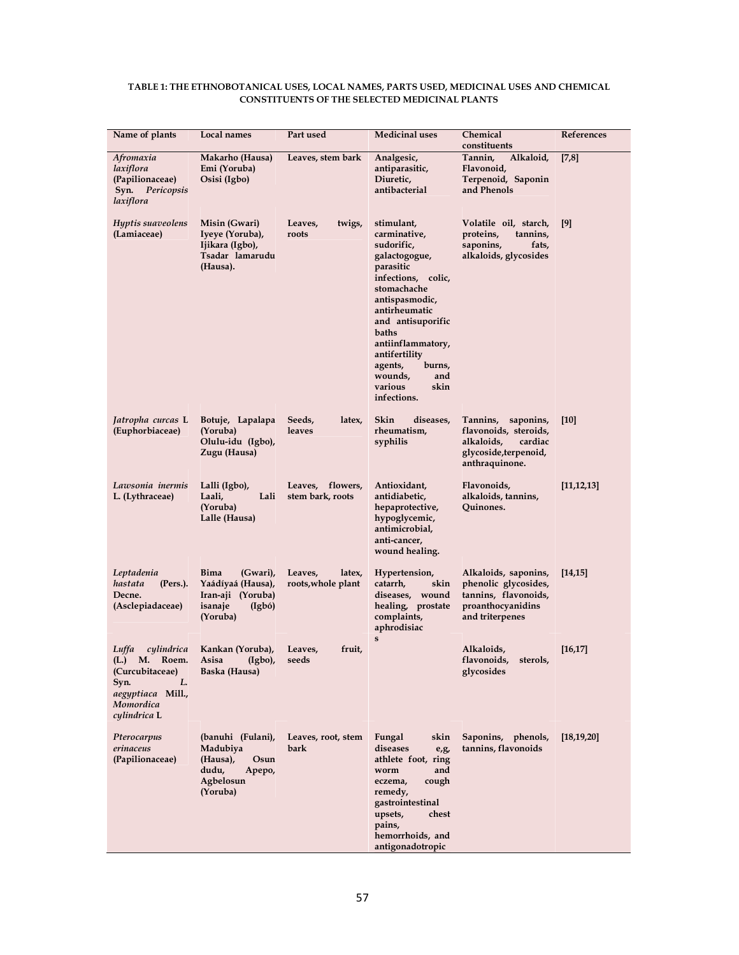| TABLE 1: THE ETHNOBOTANICAL USES, LOCAL NAMES, PARTS USED, MEDICINAL USES AND CHEMICAL |
|----------------------------------------------------------------------------------------|
| <b>CONSTITUENTS OF THE SELECTED MEDICINAL PLANTS</b>                                   |

| Name of plants                                                                                                                | Local names                                                                                        | Part used                               | <b>Medicinal uses</b>                                                                                                                                                                                                                                                                       | Chemical<br>constituents                                                                                        | References   |
|-------------------------------------------------------------------------------------------------------------------------------|----------------------------------------------------------------------------------------------------|-----------------------------------------|---------------------------------------------------------------------------------------------------------------------------------------------------------------------------------------------------------------------------------------------------------------------------------------------|-----------------------------------------------------------------------------------------------------------------|--------------|
| Afromaxia<br>laxiflora<br>(Papilionaceae)<br>Syn. Pericopsis<br>laxiflora                                                     | Makarho (Hausa)<br>Emi (Yoruba)<br>Osisi (Igbo)                                                    | Leaves, stem bark                       | Analgesic,<br>antiparasitic,<br>Diuretic,<br>antibacterial                                                                                                                                                                                                                                  | Tannin,<br>Alkaloid,<br>Flavonoid,<br>Terpenoid, Saponin<br>and Phenols                                         | [7,8]        |
| Hyptis suaveolens<br>(Lamiaceae)                                                                                              | Misin (Gwari)<br>Iyeye (Yoruba),<br>Ijikara (Igbo),<br>Tsadar lamarudu<br>(Hausa).                 | Leaves,<br>twigs,<br>roots              | stimulant,<br>carminative,<br>sudorific,<br>galactogogue,<br>parasitic<br>infections, colic,<br>stomachache<br>antispasmodic,<br>antirheumatic<br>and antisuporific<br>baths<br>antiinflammatory,<br>antifertility<br>agents,<br>burns,<br>wounds,<br>and<br>various<br>skin<br>infections. | Volatile oil, starch,<br>proteins,<br>tannins,<br>saponins,<br>fats,<br>alkaloids, glycosides                   | [9]          |
| Jatropha curcas L<br>(Euphorbiaceae)                                                                                          | Botuje, Lapalapa<br>(Yoruba)<br>Olulu-idu (Igbo),<br>Zugu (Hausa)                                  | Seeds,<br>latex,<br>leaves              | Skin<br>diseases,<br>rheumatism,<br>syphilis                                                                                                                                                                                                                                                | Tannins, saponins,<br>flavonoids, steroids,<br>alkaloids,<br>cardiac<br>glycoside, terpenoid,<br>anthraquinone. | $[10]$       |
| Lawsonia inermis<br>L. (Lythraceae)                                                                                           | Lalli (Igbo),<br>Laali,<br>Lali<br>(Yoruba)<br>Lalle (Hausa)                                       | Leaves, flowers,<br>stem bark, roots    | Antioxidant,<br>antidiabetic,<br>hepaprotective,<br>hypoglycemic,<br>antimicrobial,<br>anti-cancer,<br>wound healing.                                                                                                                                                                       | Flavonoids,<br>alkaloids, tannins,<br>Quinones.                                                                 | [11, 12, 13] |
| Leptadenia<br>hastata<br>(Pers.).<br>Decne.<br>(Asclepiadaceae)                                                               | <b>Bima</b><br>(Gwari),<br>Yaádíyaá (Hausa),<br>Iran-aji (Yoruba)<br>isanaje<br>(Igb6)<br>(Yoruba) | Leaves,<br>latex,<br>roots, whole plant | Hypertension,<br>catarrh,<br>skin<br>diseases, wound<br>healing, prostate<br>complaints,<br>aphrodisiac                                                                                                                                                                                     | Alkaloids, saponins,<br>phenolic glycosides,<br>tannins, flavonoids,<br>proanthocyanidins<br>and triterpenes    | [14, 15]     |
| Luffa<br>cylindrica<br>M.<br>Roem.<br>(L.)<br>(Curcubitaceae)<br>L.<br>Syn.<br>aegyptiaca Mill.,<br>Momordica<br>cylindrica L | Kankan (Yoruba),<br>Asisa<br>$(Igbo)$ ,<br>Baska (Hausa)                                           | Leaves,<br>fruit,<br>seeds              | $\mathbf{s}$                                                                                                                                                                                                                                                                                | Alkaloids,<br>flavonoids,<br>sterols,<br>glycosides                                                             | [16, 17]     |
| Pterocarpus<br>erinaceus<br>(Papilionaceae)                                                                                   | (banuhi (Fulani),<br>Madubiya<br>(Hausa),<br>Osun<br>dudu,<br>Apepo,<br>Agbelosun<br>(Yoruba)      | Leaves, root, stem<br>bark              | Fungal<br>skin<br>diseases<br>$e_{\iota}g_{\iota}$<br>athlete foot, ring<br>and<br>worm<br>eczema,<br>cough<br>remedy,<br>gastrointestinal<br>upsets,<br>chest<br>pains,<br>hemorrhoids, and<br>antigonadotropic                                                                            | Saponins, phenols,<br>tannins, flavonoids                                                                       | [18, 19, 20] |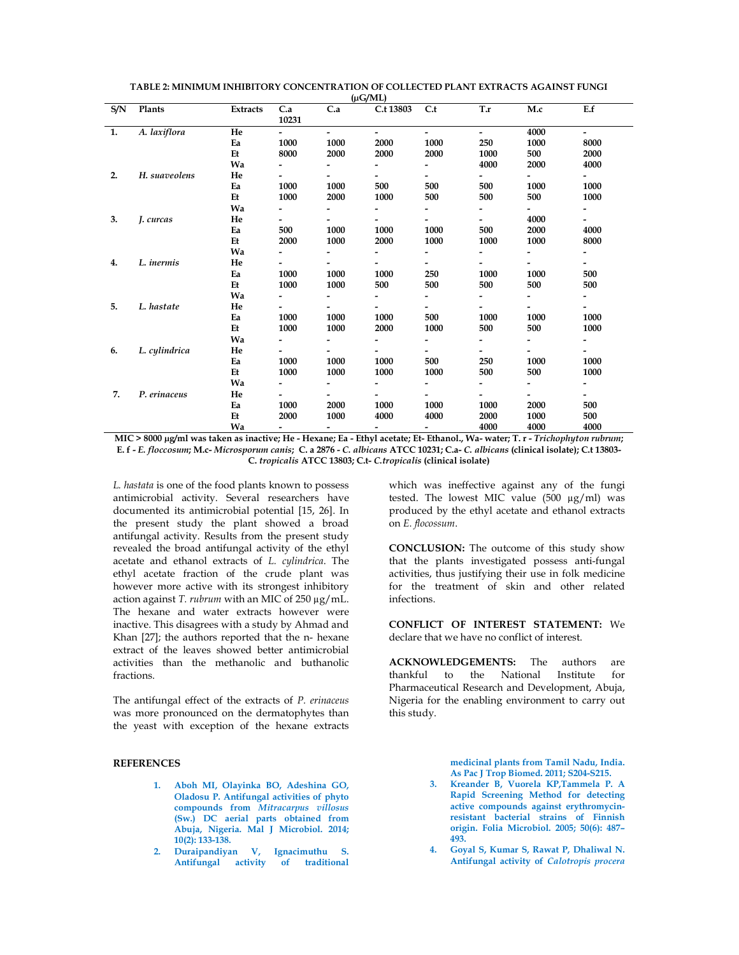|     |               |          |                 |                          | $^{\rm (hcl, VIII)}$     |                          |                          |      |                          |
|-----|---------------|----------|-----------------|--------------------------|--------------------------|--------------------------|--------------------------|------|--------------------------|
| S/N | Plants        | Extracts | C.a             | C.a                      | C.t 13803                | C.t                      | T.r                      | M.c  | E.f                      |
|     |               |          | 10231           |                          |                          |                          |                          |      |                          |
| 1.  | A. laxiflora  | He       | $\sim$ 10 $\pm$ | $\overline{\phantom{a}}$ | $\overline{\phantom{0}}$ | $\overline{\phantom{a}}$ | $\blacksquare$           | 4000 | $\blacksquare$           |
|     |               | Ea       | 1000            | 1000                     | 2000                     | 1000                     | 250                      | 1000 | 8000                     |
|     |               | Et       | 8000            | 2000                     | 2000                     | 2000                     | 1000                     | 500  | 2000                     |
|     |               | Wa       |                 |                          | $\overline{\phantom{0}}$ |                          | 4000                     | 2000 | 4000                     |
| 2.  | H. suaveolens | He       |                 |                          | $\overline{\phantom{a}}$ | $\overline{\phantom{0}}$ |                          |      | $\overline{\phantom{a}}$ |
|     |               | Ea       | 1000            | 1000                     | 500                      | 500                      | 500                      | 1000 | 1000                     |
|     |               | Et       | 1000            | 2000                     | 1000                     | 500                      | 500                      | 500  | 1000                     |
|     |               | Wa       |                 | Ξ.                       | $\overline{\phantom{0}}$ | $\overline{\phantom{a}}$ |                          |      |                          |
| 3.  | J. curcas     | He       |                 |                          | $\overline{\phantom{0}}$ |                          | $\overline{\phantom{0}}$ | 4000 |                          |
|     |               | Ea       | 500             | 1000                     | 1000                     | 1000                     | 500                      | 2000 | 4000                     |
|     |               | Et       | 2000            | 1000                     | 2000                     | 1000                     | 1000                     | 1000 | 8000                     |
|     |               | Wa       |                 | -                        | $\overline{\phantom{0}}$ | $\overline{\phantom{a}}$ |                          | -    | $\overline{\phantom{a}}$ |
| 4.  | L. inermis    | He       |                 |                          |                          |                          |                          |      |                          |
|     |               | Ea       | 1000            | 1000                     | 1000                     | 250                      | 1000                     | 1000 | 500                      |
|     |               | Et       | 1000            | 1000                     | 500                      | 500                      | 500                      | 500  | 500                      |
|     |               | Wa       |                 |                          |                          |                          |                          |      |                          |
| 5.  | L. hastate    | He       |                 |                          | $\overline{\phantom{0}}$ |                          | Ξ.                       |      | $\overline{\phantom{0}}$ |
|     |               | Ea       | 1000            | 1000                     | 1000                     | 500                      | 1000                     | 1000 | 1000                     |
|     |               | Et       | 1000            | 1000                     | 2000                     | 1000                     | 500                      | 500  | 1000                     |
|     |               | Wa       |                 |                          | $\overline{\phantom{0}}$ |                          | Ξ.                       |      |                          |
| 6.  | L. cylindrica | He       |                 | -                        | $\overline{\phantom{0}}$ | $\overline{\phantom{0}}$ | $\overline{\phantom{0}}$ |      | $\overline{\phantom{a}}$ |
|     |               | Ea       | 1000            | 1000                     | 1000                     | 500                      | 250                      | 1000 | 1000                     |
|     |               | Et       | 1000            | 1000                     | 1000                     | 1000                     | 500                      | 500  | 1000                     |
|     |               | Wa       |                 | $\overline{\phantom{0}}$ |                          | $\blacksquare$           | Ξ.                       |      | $\overline{\phantom{a}}$ |
| 7.  | P. erinaceus  | He       |                 | -                        | $\overline{\phantom{0}}$ |                          | Ξ.                       |      | $\overline{\phantom{a}}$ |
|     |               | Ea       | 1000            | 2000                     | 1000                     | 1000                     | 1000                     | 2000 | 500                      |
|     |               | Et       | 2000            | 1000                     | 4000                     | 4000                     | 2000                     | 1000 | 500                      |
|     |               | Wa       |                 | $\overline{\phantom{a}}$ | $\sim$                   | $\overline{\phantom{0}}$ | 4000                     | 4000 | 4000                     |

TABLE 2: MINIMUM INHIBITORY CONCENTRATION OF COLLECTED PLANT EXTRACTS AGAINST FUNGI  $6.02$ MT)

L. hastata is one of the food plants known to possess antimicrobial activity. Several researchers have documented its antimicrobial potential [15, 26]. In the present study the plant showed a broad antifungal activity. Results from the present study revealed the broad antifungal activity of the ethyl acetate and ethanol extracts of L. cylindrica. The ethyl acetate fraction of the crude plant was however more active with its strongest inhibitory action against T. rubrum with an MIC of  $250 \mu g/mL$ . The hexane and water extracts however were inactive. This disagrees with a study by Ahmad and Khan [27]; the authors reported that the n- hexane extract of the leaves showed better antimicrobial activities than the methanolic and buthanolic fractions.

The antifungal effect of the extracts of P. erinaceus was more pronounced on the dermatophytes than the yeast with exception of the hexane extracts

# **REFERENCES**

- 1. Aboh MI, Olayinka BO, Adeshina GO, Oladosu P. Antifungal activities of phyto compounds from Mitracarpus villosus (Sw.) DC aerial parts obtained from Abuja, Nigeria. Mal J Microbiol. 2014;  $10(2): 133-138.$
- Duraipandiyan V, Ignacimuthu S.  $2.$ Antifungal activity of traditional

which was ineffective against any of the fungi tested. The lowest MIC value (500 µg/ml) was produced by the ethyl acetate and ethanol extracts on E. flocossum.

**CONCLUSION:** The outcome of this study show that the plants investigated possess anti-fungal activities, thus justifying their use in folk medicine for the treatment of skin and other related infections.

**CONFLICT OF INTEREST STATEMENT: We** declare that we have no conflict of interest.

**ACKNOWLEDGEMENTS:** The authors are thankful to the National Institute  $for$ Pharmaceutical Research and Development, Abuja, Nigeria for the enabling environment to carry out this study.

> medicinal plants from Tamil Nadu, India. As Pac J Trop Biomed. 2011; S204-S215.

- 3. Kreander B, Vuorela KP, Tammela P. A Rapid Screening Method for detecting active compounds against erythromycinresistant bacterial strains of Finnish origin. Folia Microbiol. 2005; 50(6): 487-493.
- Goyal S, Kumar S, Rawat P, Dhaliwal N.  $4.$ Antifungal activity of Calotropis procera

MIC > 8000 µg/ml was taken as inactive; He - Hexane; Ea - Ethyl acetate; Et- Ethanol., Wa- water; T. r - Trichophyton rubrum; E. f - E. floccosum; M.c- Microsporum canis; C. a 2876 - C. albicans ATCC 10231; C.a- C. albicans (clinical isolate); C.t 13803-C. tropicalis ATCC 13803; C.t- C.tropicalis (clinical isolate)